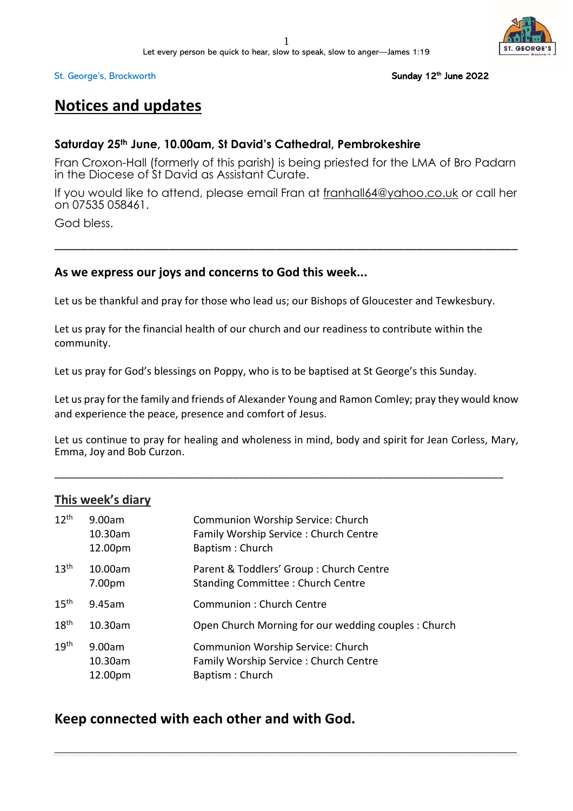

#### Sunday 12<sup>th</sup> June 2022

## **Notices and updates**

## **Saturday 25th June, 10.00am, St David's Cathedral, Pembrokeshire**

Fran Croxon-Hall (formerly of this parish) is being priested for the LMA of Bro Padarn in the Diocese of St David as Assistant Curate.

If you would like to attend, please email Fran at [franhall64@yahoo.co.uk](mailto:franhall64@yahoo.co.uk) or call her on 07535 058461.

\_\_\_\_\_\_\_\_\_\_\_\_\_\_\_\_\_\_\_\_\_\_\_\_\_\_\_\_\_\_\_\_\_\_\_\_\_\_\_\_\_\_\_\_\_\_\_\_\_\_\_\_\_\_\_\_\_\_\_\_\_\_\_\_\_\_\_\_\_

God bless.

## **As we express our joys and concerns to God this week...**

Let us be thankful and pray for those who lead us; our Bishops of Gloucester and Tewkesbury.

Let us pray for the financial health of our church and our readiness to contribute within the community.

Let us pray for God's blessings on Poppy, who is to be baptised at St George's this Sunday.

Let us pray for the family and friends of Alexander Young and Ramon Comley; pray they would know and experience the peace, presence and comfort of Jesus.

Let us continue to pray for healing and wholeness in mind, body and spirit for Jean Corless, Mary, Emma, Joy and Bob Curzon.

\_\_\_\_\_\_\_\_\_\_\_\_\_\_\_\_\_\_\_\_\_\_\_\_\_\_\_\_\_\_\_\_\_\_\_\_\_\_\_\_\_\_\_\_\_\_\_\_\_\_\_\_\_\_\_\_\_\_\_\_\_\_\_\_\_\_\_\_\_\_\_\_\_\_\_\_\_\_

## **This week's diary**

| $12^{th}$        | 9.00am<br>10.30am<br>12.00pm | Communion Worship Service: Church<br>Family Worship Service: Church Centre<br>Baptism: Church |
|------------------|------------------------------|-----------------------------------------------------------------------------------------------|
| 13 <sup>th</sup> | 10.00am<br>7.00pm            | Parent & Toddlers' Group : Church Centre<br><b>Standing Committee: Church Centre</b>          |
| 15 <sup>th</sup> | 9.45am                       | Communion: Church Centre                                                                      |
| 18 <sup>th</sup> | 10.30am                      | Open Church Morning for our wedding couples: Church                                           |
| 19 <sup>th</sup> | 9.00am<br>10.30am<br>12.00pm | Communion Worship Service: Church<br>Family Worship Service: Church Centre<br>Baptism: Church |

\_\_\_\_\_\_\_\_\_\_\_\_\_\_\_\_\_\_\_\_\_\_\_\_\_\_\_\_\_\_\_\_\_\_\_\_\_\_\_\_\_\_\_\_\_\_\_\_\_\_\_\_\_\_\_\_\_\_\_\_\_\_\_\_\_\_\_\_\_\_\_\_\_\_\_\_\_\_\_\_

## **Keep connected with each other and with God.**

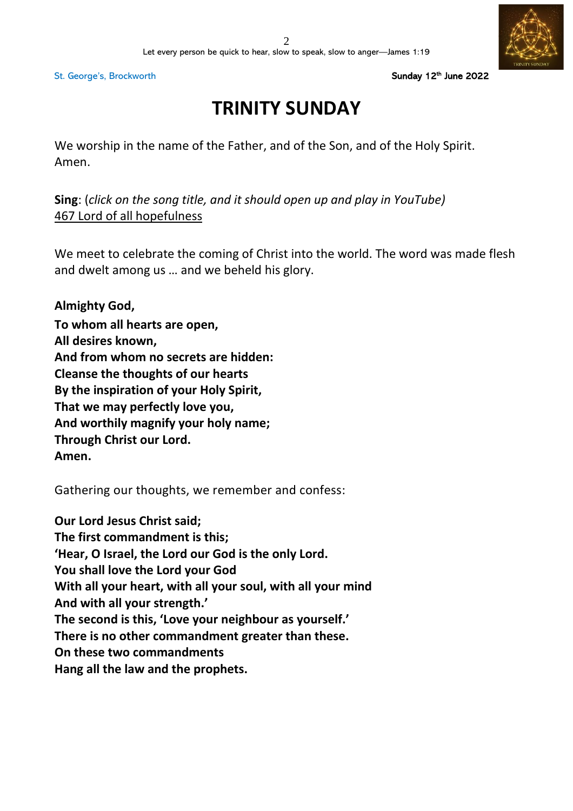Sunday 12<sup>th</sup> June 2022

# **TRINITY SUNDAY**

We worship in the name of the Father, and of the Son, and of the Holy Spirit. Amen.

**Sing**: (*click on the song title, and it should open up and play in YouTube)* 467 Lord of all [hopefulness](https://www.youtube.com/watch?v=i6ztlI8Hlbo)

We meet to celebrate the coming of Christ into the world. The word was made flesh and dwelt among us … and we beheld his glory.

**Almighty God, To whom all hearts are open, All desires known, And from whom no secrets are hidden: Cleanse the thoughts of our hearts By the inspiration of your Holy Spirit, That we may perfectly love you, And worthily magnify your holy name; Through Christ our Lord. Amen.**

Gathering our thoughts, we remember and confess:

**Our Lord Jesus Christ said; The first commandment is this; 'Hear, O Israel, the Lord our God is the only Lord. You shall love the Lord your God With all your heart, with all your soul, with all your mind And with all your strength.' The second is this, 'Love your neighbour as yourself.' There is no other commandment greater than these. On these two commandments Hang all the law and the prophets.**

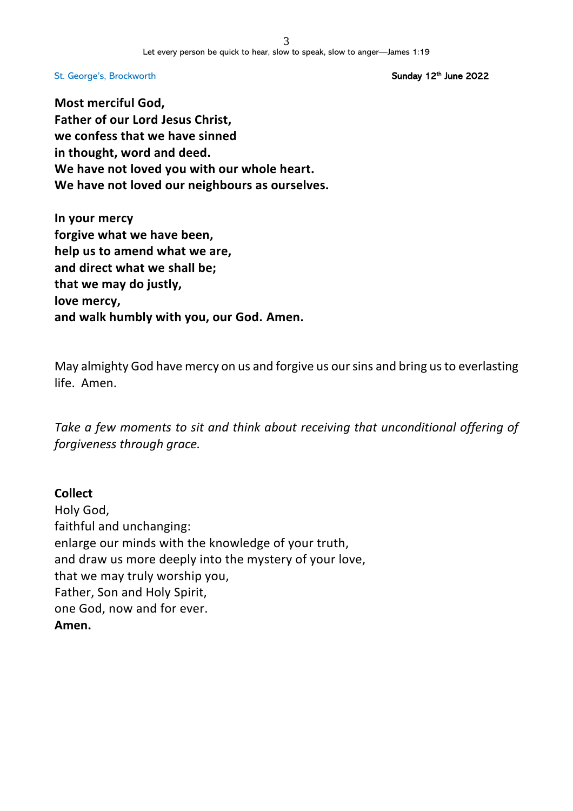Sunday 12<sup>th</sup> June 2022

**Most merciful God, Father of our Lord Jesus Christ, we confess that we have sinned in thought, word and deed. We have not loved you with our whole heart. We have not loved our neighbours as ourselves.**

**In your mercy forgive what we have been, help us to amend what we are, and direct what we shall be; that we may do justly, love mercy, and walk humbly with you, our God. Amen.**

May almighty God have mercy on us and forgive us our sins and bring us to everlasting life. Amen.

*Take a few moments to sit and think about receiving that unconditional offering of forgiveness through grace.*

## **Collect**

Holy God, faithful and unchanging: enlarge our minds with the knowledge of your truth, and draw us more deeply into the mystery of your love, that we may truly worship you, Father, Son and Holy Spirit, one God, now and for ever. **Amen.**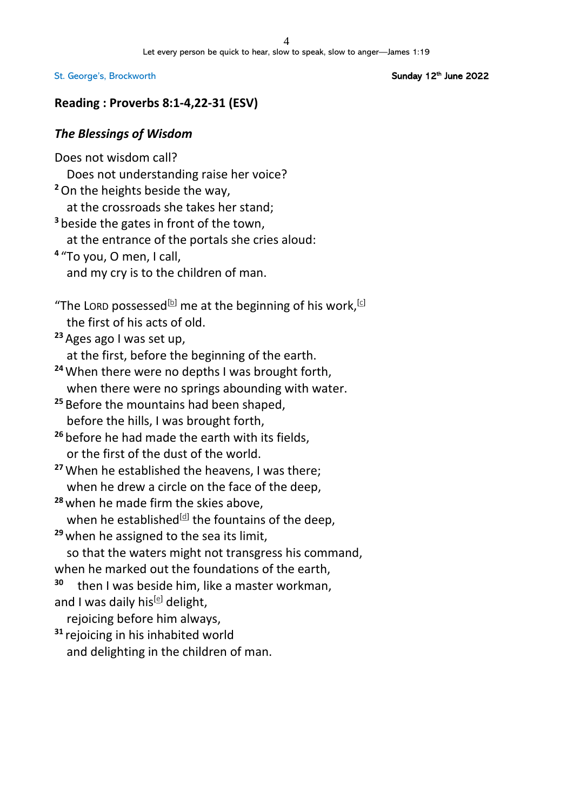Sunday 12<sup>th</sup> June 2022

## **Reading : Proverbs 8:1-4,22-31 (ESV)**

## *The Blessings of Wisdom*

Does not wisdom call? Does not understanding raise her voice? **<sup>2</sup>**On the heights beside the way, at the crossroads she takes her stand; **<sup>3</sup>** beside the gates in front of the town, at the entrance of the portals she cries aloud: **4** "To you, O men, I call, and my cry is to the children of man. "The LORD possessed<sup>[\[b\]](https://www.biblegateway.com/passage/?search=proverbs+8&version=ESV#fen-ESV-16625b)</sup> me at the beginning of his work,<sup>[\[c\]](https://www.biblegateway.com/passage/?search=proverbs+8&version=ESV#fen-ESV-16625c)</sup> the first of his acts of old. **<sup>23</sup>** Ages ago I was set up, at the first, before the beginning of the earth. **<sup>24</sup>**When there were no depths I was brought forth, when there were no springs abounding with water. **<sup>25</sup>** Before the mountains had been shaped, before the hills, I was brought forth, **<sup>26</sup>** before he had made the earth with its fields, or the first of the dust of the world. **<sup>27</sup>**When he established the heavens, I was there; when he drew a circle on the face of the deep, **<sup>28</sup>** when he made firm the skies above, when he established $^{[d]}$  $^{[d]}$  $^{[d]}$  the fountains of the deep, **<sup>29</sup>** when he assigned to the sea its limit, so that the waters might not transgress his command, when he marked out the foundations of the earth, **<sup>30</sup>** then I was beside him, like a master workman, and I was daily his<sup>[\[e\]](https://www.biblegateway.com/passage/?search=proverbs+8&version=ESV#fen-ESV-16633e)</sup> delight, rejoicing before him always, **<sup>31</sup>** rejoicing in his inhabited world and delighting in the children of man.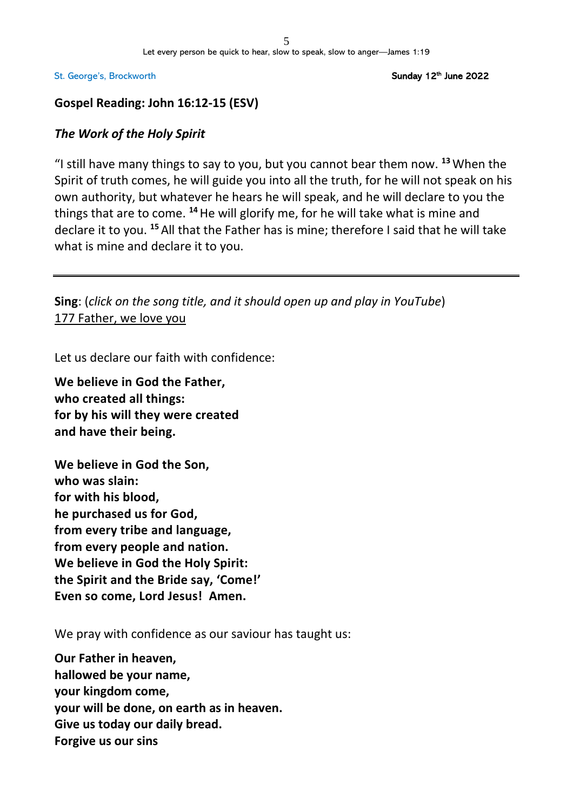Sunday 12<sup>th</sup> June 2022

## **Gospel Reading: John 16:12-15 (ESV)**

## *The Work of the Holy Spirit*

"I still have many things to say to you, but you cannot bear them now. **<sup>13</sup>**When the Spirit of truth comes, he will guide you into all the truth, for he will not speak on his own authority, but whatever he hears he will speak, and he will declare to you the things that are to come. **<sup>14</sup>**He will glorify me, for he will take what is mine and declare it to you. **<sup>15</sup>** All that the Father has is mine; therefore I said that he will take what is mine and declare it to you.

**Sing**: (*click on the song title, and it should open up and play in YouTube*) 177 [Father,](https://www.youtube.com/watch?v=LPVN3NjbJ_U) we love you

Let us declare our faith with confidence:

**We believe in God the Father, who created all things: for by his will they were created and have their being.**

**We believe in God the Son, who was slain: for with his blood, he purchased us for God, from every tribe and language, from every people and nation. We believe in God the Holy Spirit: the Spirit and the Bride say, 'Come!' Even so come, Lord Jesus! Amen.**

We pray with confidence as our saviour has taught us:

**Our Father in heaven, hallowed be your name, your kingdom come, your will be done, on earth as in heaven. Give us today our daily bread. Forgive us our sins**